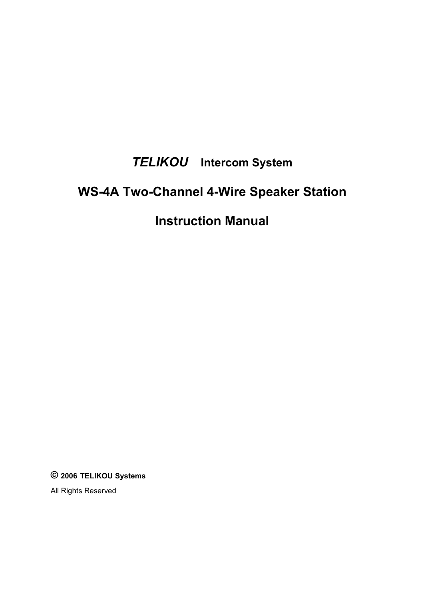# *TELIKOU* **Intercom System**

# **WS-4A Two-Channel 4-Wire Speaker Station**

## **Instruction Manual**

**© 2006 TELIKOU Systems**

All Rights Reserved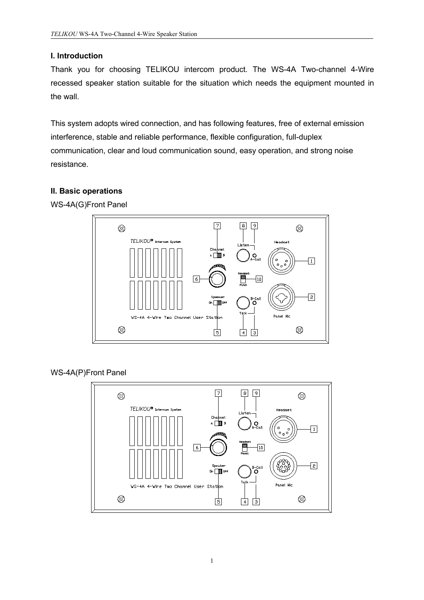## **I. Introduction**

Thank you for choosing TELIKOU intercom product. The WS-4A Two-channel 4-Wire recessed speaker station suitable for the situation which needs the equipment mounted in the wall.

This system adopts wired connection, and has following features, free of external emission interference, stable and reliable performance, flexible configuration, full-duplex communication, clear and loud communication sound, easy operation, and strong noise resistance.

#### **II. Basic operations**



WS-4A(G)Front Panel

WS-4A(P)Front Panel

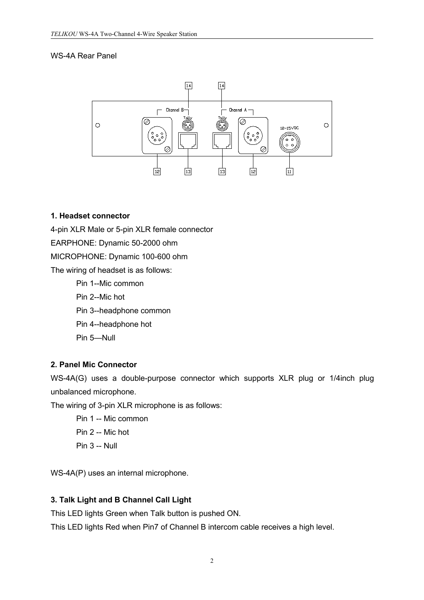#### WS-4A Rear Panel



#### **1. Headset connector**

4-pin XLR Male or 5-pin XLR female connector

EARPHONE: Dynamic 50-2000 ohm

MICROPHONE: Dynamic 100-600 ohm

The wiring of headset is as follows:

Pin 1--Mic common

Pin 2--Mic hot

Pin 3--headphone common

Pin 4--headphone hot

Pin 5—Null

#### **2. Panel Mic Connector**

WS-4A(G) uses a double-purpose connector which supports XLR plug or 1/4inch plug unbalanced microphone.

The wiring of 3-pin XLR microphone is as follows:

- Pin 1 -- Mic common
- Pin 2 -- Mic hot
- Pin 3 -- Null

WS-4A(P) uses an internal microphone.

#### **3. Talk Light and B Channel Call Light**

This LED lights Green when Talk button is pushed ON.

This LED lights Red when Pin7 of Channel B intercom cable receives a high level.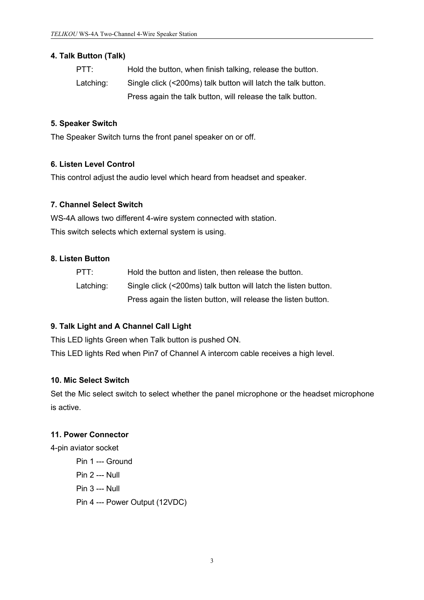#### **4. Talk Button (Talk)**

| PTT:      | Hold the button, when finish talking, release the button.     |
|-----------|---------------------------------------------------------------|
| Latching: | Single click (<200ms) talk button will latch the talk button. |
|           | Press again the talk button, will release the talk button.    |

## **5. Speaker Switch**

The Speaker Switch turns the front panel speaker on or off.

## **6. Listen Level Control**

This control adjust the audio level which heard from headset and speaker.

## **7. Channel Select Switch**

WS-4A allows two different 4-wire system connected with station. This switch selects which external system is using.

## **8. Listen Button**

| PTT:      | Hold the button and listen, then release the button.            |
|-----------|-----------------------------------------------------------------|
| Latching: | Single click (<200ms) talk button will latch the listen button. |
|           | Press again the listen button, will release the listen button.  |

## **9. Talk Light and A Channel Call Light**

This LED lights Green when Talk button is pushed ON.

This LED lights Red when Pin7 of Channel A intercom cable receives a high level.

#### **10. Mic Select Switch**

Set the Mic select switch to select whether the panel microphone or the headset microphone is active.

#### **11. Power Connector**

4-pin aviator socket

Pin 1 --- Ground Pin 2 --- Null Pin 3 --- Null Pin 4 --- Power Output (12VDC)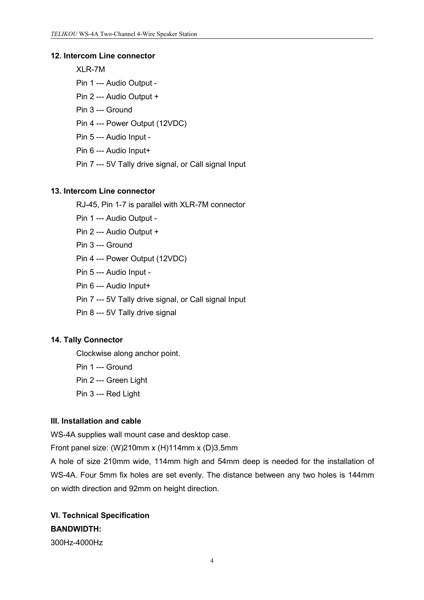#### **12. Intercom Line connector**

XLR-7M

- Pin 1 --- Audio Output -
- Pin 2 --- Audio Output +
- Pin 3 --- Ground
- Pin 4 --- Power Output (12VDC)
- Pin 5 --- Audio Input -
- Pin 6 --- Audio Input+
- Pin 7 --- 5V Tally drive signal, or Call signal Input

#### **13. Intercom Line connector**

RJ-45, Pin 1-7 is parallel with XLR-7M connector

- Pin 1 --- Audio Output -
- Pin 2 --- Audio Output +
- Pin 3 --- Ground
- Pin 4 --- Power Output (12VDC)
- Pin 5 --- Audio Input -
- Pin 6 --- Audio Input+
- Pin 7 --- 5V Tally drive signal, or Call signal Input
- Pin 8 --- 5V Tally drive signal

#### **14. Tally Connector**

Clockwise along anchor point.

- Pin 1 --- Ground
- Pin 2 --- Green Light
- Pin 3 --- Red Light

#### **III. Installation and cable**

WS-4A supplies wall mount case and desktop case.

Front panel size: (W)210mm x (H)114mm x (D)3.5mm

A hole of size 210mm wide, 114mm high and 54mm deep is needed for the installation of WS-4A. Four 5mm fix holes are set evenly. The distance between any two holes is 144mm on width direction and 92mm on height direction.

## **VI. Technical Specification BANDWIDTH:**

300Hz-4000Hz